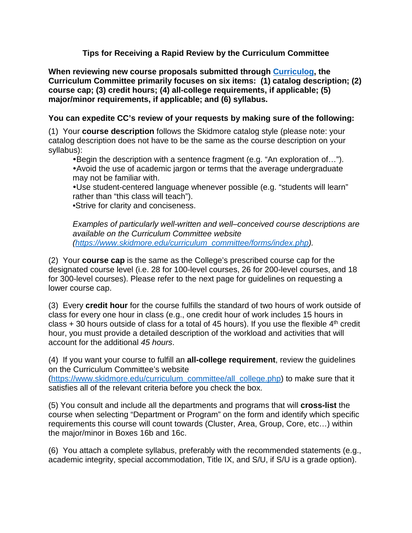## **Tips for Receiving a Rapid Review by the Curriculum Committee**

**When reviewing new course proposals submitted through [Curriculog,](https://skidmore.curriculog.com/proposal) the Curriculum Committee primarily focuses on six items: (1) catalog description; (2) course cap; (3) credit hours; (4) all-college requirements, if applicable; (5) major/minor requirements, if applicable; and (6) syllabus.**

## **You can expedite CC's review of your requests by making sure of the following:**

(1) Your **course description** follows the Skidmore catalog style (please note: your catalog description does not have to be the same as the course description on your syllabus):

Begin the description with a sentence fragment (e.g. "An exploration of…").

Avoid the use of academic jargon or terms that the average undergraduate may not be familiar with.

Use student-centered language whenever possible (e.g. "students will learn" rather than "this class will teach").

*•*Strive for clarity and conciseness.

*Examples of particularly well-written and well–conceived course descriptions are available on the Curriculum Committee website [\(https://www.skidmore.edu/curriculum\\_committee/forms/index.php\)](https://www.skidmore.edu/curriculum_committee/forms/index.php).*

(2) Your **course cap** is the same as the College's prescribed course cap for the designated course level (i.e. 28 for 100-level courses, 26 for 200-level courses, and 18 for 300-level courses). Please refer to the next page for guidelines on requesting a lower course cap.

(3) Every **credit hour** for the course fulfills the standard of two hours of work outside of class for every one hour in class (e.g., one credit hour of work includes 15 hours in class  $+30$  hours outside of class for a total of 45 hours). If you use the flexible  $4<sup>th</sup>$  credit hour, you must provide a detailed description of the workload and activities that will account for the additional *45 hours*.

(4) If you want your course to fulfill an **all-college requirement**, review the guidelines on the Curriculum Committee's website

[\(https://www.skidmore.edu/curriculum\\_committee/all\\_college.php\)](https://www.skidmore.edu/curriculum_committee/all_college.php) to make sure that it satisfies all of the relevant criteria before you check the box.

(5) You consult and include all the departments and programs that will **cross-list** the course when selecting "Department or Program" on the form and identify which specific requirements this course will count towards (Cluster, Area, Group, Core, etc…) within the major/minor in Boxes 16b and 16c.

(6) You attach a complete syllabus, preferably with the recommended statements (e.g., academic integrity, special accommodation, Title IX, and S/U, if S/U is a grade option).